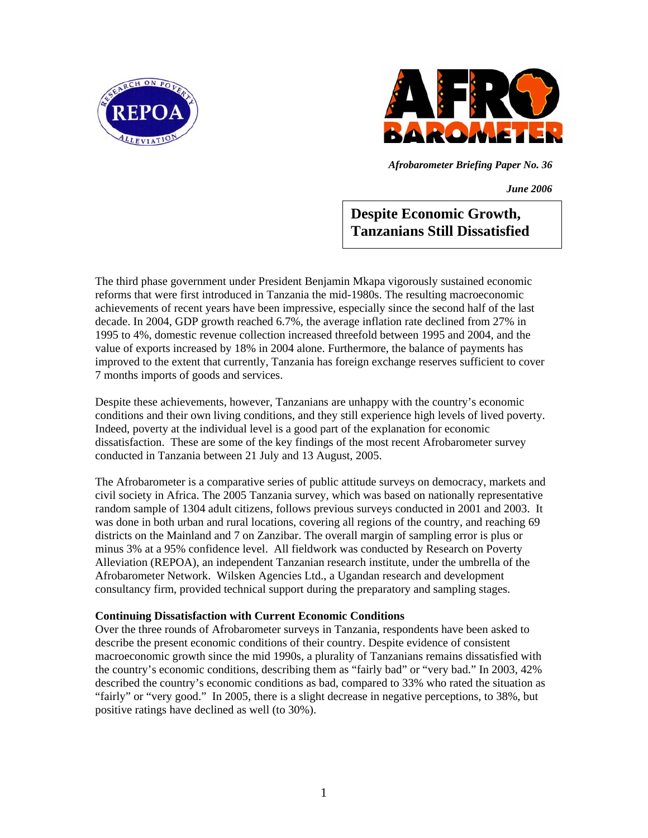



*Afrobarometer Briefing Paper No. 36* 

*June 2006*

**Despite Economic Growth, Tanzanians Still Dissatisfied**

The third phase government under President Benjamin Mkapa vigorously sustained economic reforms that were first introduced in Tanzania the mid-1980s. The resulting macroeconomic achievements of recent years have been impressive, especially since the second half of the last decade. In 2004, GDP growth reached 6.7%, the average inflation rate declined from 27% in 1995 to 4%, domestic revenue collection increased threefold between 1995 and 2004, and the value of exports increased by 18% in 2004 alone. Furthermore, the balance of payments has improved to the extent that currently, Tanzania has foreign exchange reserves sufficient to cover 7 months imports of goods and services.

Despite these achievements, however, Tanzanians are unhappy with the country's economic conditions and their own living conditions, and they still experience high levels of lived poverty. Indeed, poverty at the individual level is a good part of the explanation for economic dissatisfaction. These are some of the key findings of the most recent Afrobarometer survey conducted in Tanzania between 21 July and 13 August, 2005.

The Afrobarometer is a comparative series of public attitude surveys on democracy, markets and civil society in Africa. The 2005 Tanzania survey, which was based on nationally representative random sample of 1304 adult citizens, follows previous surveys conducted in 2001 and 2003. It was done in both urban and rural locations, covering all regions of the country, and reaching 69 districts on the Mainland and 7 on Zanzibar. The overall margin of sampling error is plus or minus 3% at a 95% confidence level. All fieldwork was conducted by Research on Poverty Alleviation (REPOA), an independent Tanzanian research institute, under the umbrella of the Afrobarometer Network. Wilsken Agencies Ltd., a Ugandan research and development consultancy firm, provided technical support during the preparatory and sampling stages.

## **Continuing Dissatisfaction with Current Economic Conditions**

Over the three rounds of Afrobarometer surveys in Tanzania, respondents have been asked to describe the present economic conditions of their country. Despite evidence of consistent macroeconomic growth since the mid 1990s, a plurality of Tanzanians remains dissatisfied with the country's economic conditions, describing them as "fairly bad" or "very bad." In 2003, 42% described the country's economic conditions as bad, compared to 33% who rated the situation as "fairly" or "very good." In 2005, there is a slight decrease in negative perceptions, to 38%, but positive ratings have declined as well (to 30%).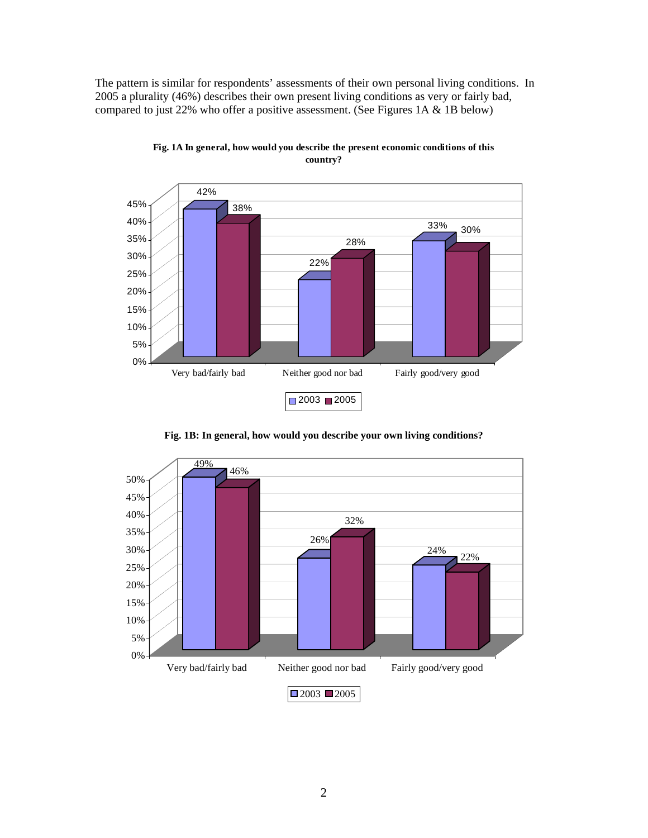The pattern is similar for respondents' assessments of their own personal living conditions. In 2005 a plurality (46%) describes their own present living conditions as very or fairly bad, compared to just 22% who offer a positive assessment. (See Figures 1A & 1B below)



**Fig. 1A In general, how would you describe the present economic conditions of this country?**

**Fig. 1B: In general, how would you describe your own living conditions?**

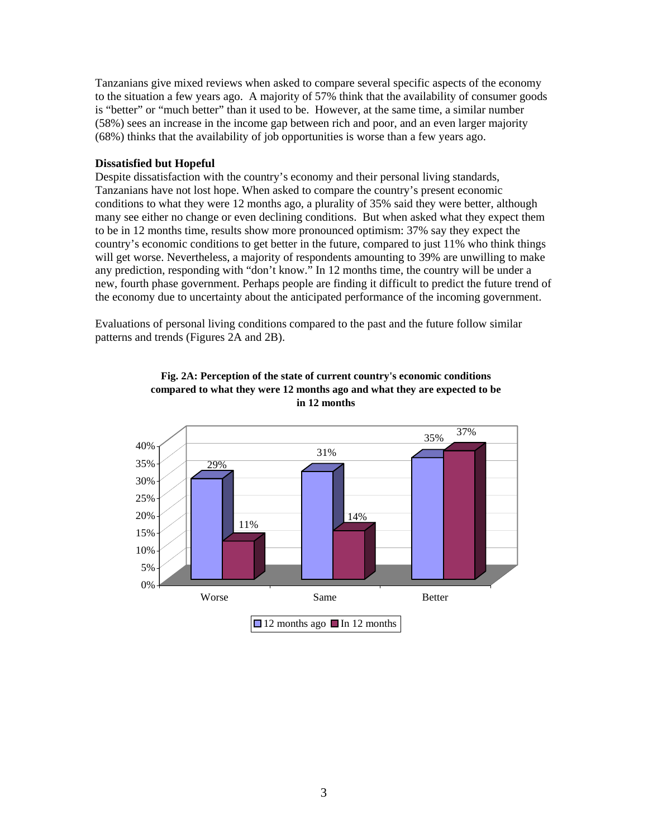Tanzanians give mixed reviews when asked to compare several specific aspects of the economy to the situation a few years ago. A majority of 57% think that the availability of consumer goods is "better" or "much better" than it used to be. However, at the same time, a similar number (58%) sees an increase in the income gap between rich and poor, and an even larger majority (68%) thinks that the availability of job opportunities is worse than a few years ago.

### **Dissatisfied but Hopeful**

Despite dissatisfaction with the country's economy and their personal living standards, Tanzanians have not lost hope. When asked to compare the country's present economic conditions to what they were 12 months ago, a plurality of 35% said they were better, although many see either no change or even declining conditions. But when asked what they expect them to be in 12 months time, results show more pronounced optimism: 37% say they expect the country's economic conditions to get better in the future, compared to just 11% who think things will get worse. Nevertheless, a majority of respondents amounting to 39% are unwilling to make any prediction, responding with "don't know." In 12 months time, the country will be under a new, fourth phase government. Perhaps people are finding it difficult to predict the future trend of the economy due to uncertainty about the anticipated performance of the incoming government.

Evaluations of personal living conditions compared to the past and the future follow similar patterns and trends (Figures 2A and 2B).



**Fig. 2A: Perception of the state of current country's economic conditions compared to what they were 12 months ago and what they are expected to be in 12 months**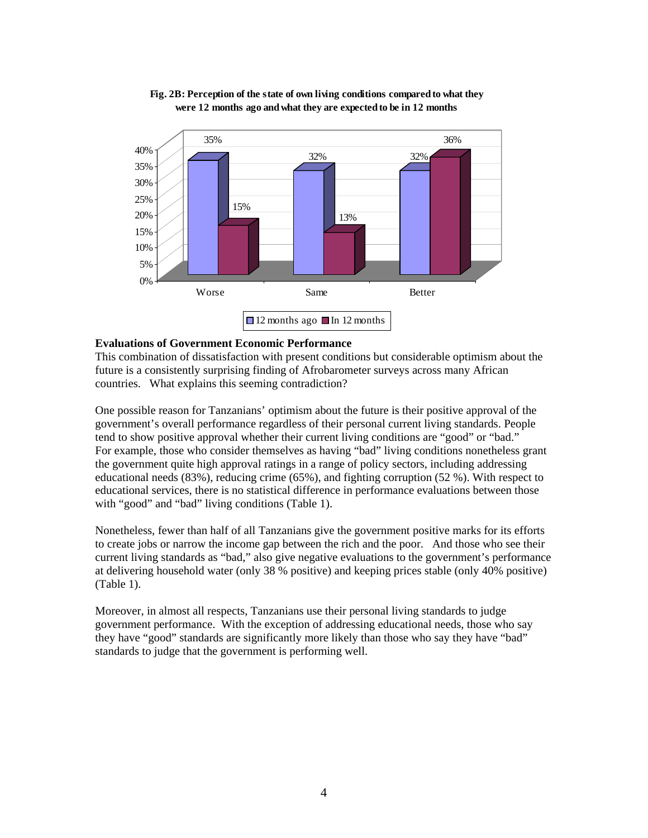

## **Fig. 2B: Perception of the state of own living conditions compared to what they were 12 months ago and what they are expected to be in 12 months**

## **Evaluations of Government Economic Performance**

This combination of dissatisfaction with present conditions but considerable optimism about the future is a consistently surprising finding of Afrobarometer surveys across many African countries. What explains this seeming contradiction?

One possible reason for Tanzanians' optimism about the future is their positive approval of the government's overall performance regardless of their personal current living standards. People tend to show positive approval whether their current living conditions are "good" or "bad." For example, those who consider themselves as having "bad" living conditions nonetheless grant the government quite high approval ratings in a range of policy sectors, including addressing educational needs (83%), reducing crime (65%), and fighting corruption (52 %). With respect to educational services, there is no statistical difference in performance evaluations between those with "good" and "bad" living conditions (Table 1).

Nonetheless, fewer than half of all Tanzanians give the government positive marks for its efforts to create jobs or narrow the income gap between the rich and the poor. And those who see their current living standards as "bad," also give negative evaluations to the government's performance at delivering household water (only 38 % positive) and keeping prices stable (only 40% positive) (Table 1).

Moreover, in almost all respects, Tanzanians use their personal living standards to judge government performance. With the exception of addressing educational needs, those who say they have "good" standards are significantly more likely than those who say they have "bad" standards to judge that the government is performing well.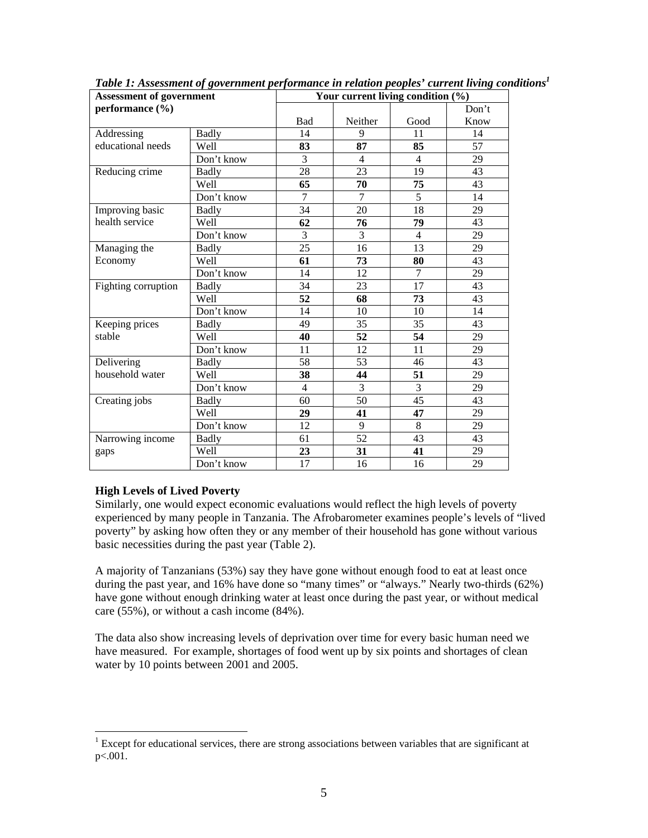| <b>Assessment of government</b><br>performance (%) |              |                | Your current living condition (%) |                |       |  |
|----------------------------------------------------|--------------|----------------|-----------------------------------|----------------|-------|--|
|                                                    |              |                |                                   |                | Don't |  |
|                                                    |              | Bad            | Neither                           | Good           | Know  |  |
| Addressing<br>educational needs                    | <b>Badly</b> | 14             | 9                                 | 11             | 14    |  |
|                                                    | Well         | 83             | 87                                | 85             | 57    |  |
|                                                    | Don't know   | 3              | 4                                 | 4              | 29    |  |
| Reducing crime                                     | <b>Badly</b> | 28             | 23                                | 19             | 43    |  |
|                                                    | Well         | 65             | 70                                | 75             | 43    |  |
|                                                    | Don't know   | $\overline{7}$ | $\overline{7}$                    | $\overline{5}$ | 14    |  |
| Improving basic                                    | <b>Badly</b> | 34             | 20                                | 18             | 29    |  |
| health service                                     | Well         | 62             | 76                                | 79             | 43    |  |
|                                                    | Don't know   | 3              | 3                                 | 4              | 29    |  |
| Managing the                                       | <b>Badly</b> | 25             | 16                                | 13             | 29    |  |
| Economy                                            | Well         | 61             | 73                                | 80             | 43    |  |
|                                                    | Don't know   | 14             | 12                                | $\overline{7}$ | 29    |  |
| Fighting corruption                                | <b>Badly</b> | 34             | 23                                | 17             | 43    |  |
|                                                    | Well         | 52             | 68                                | 73             | 43    |  |
|                                                    | Don't know   | 14             | 10                                | 10             | 14    |  |
| Keeping prices                                     | <b>Badly</b> | 49             | 35                                | 35             | 43    |  |
| stable                                             | Well         | 40             | 52                                | 54             | 29    |  |
|                                                    | Don't know   | 11             | 12                                | 11             | 29    |  |
| Delivering<br>household water                      | <b>Badly</b> | 58             | 53                                | 46             | 43    |  |
|                                                    | Well         | 38             | 44                                | 51             | 29    |  |
|                                                    | Don't know   | $\overline{4}$ | 3                                 | 3              | 29    |  |
| Creating jobs                                      | <b>Badly</b> | 60             | 50                                | 45             | 43    |  |
|                                                    | Well         | 29             | 41                                | 47             | 29    |  |
|                                                    | Don't know   | 12             | 9                                 | 8              | 29    |  |
| Narrowing income                                   | <b>Badly</b> | 61             | 52                                | 43             | 43    |  |
| gaps                                               | Well         | 23             | 31                                | 41             | 29    |  |
|                                                    | Don't know   | 17             | 16                                | 16             | 29    |  |

*Table 1: Assessment of government performance in relation peoples' current living conditions1*

# **High Levels of Lived Poverty**

Similarly, one would expect economic evaluations would reflect the high levels of poverty experienced by many people in Tanzania. The Afrobarometer examines people's levels of "lived poverty" by asking how often they or any member of their household has gone without various basic necessities during the past year (Table 2).

A majority of Tanzanians (53%) say they have gone without enough food to eat at least once during the past year, and 16% have done so "many times" or "always." Nearly two-thirds (62%) have gone without enough drinking water at least once during the past year, or without medical care (55%), or without a cash income (84%).

The data also show increasing levels of deprivation over time for every basic human need we have measured. For example, shortages of food went up by six points and shortages of clean water by 10 points between 2001 and 2005.

<sup>&</sup>lt;sup>1</sup> Except for educational services, there are strong associations between variables that are significant at <sup>1</sup> p<.001.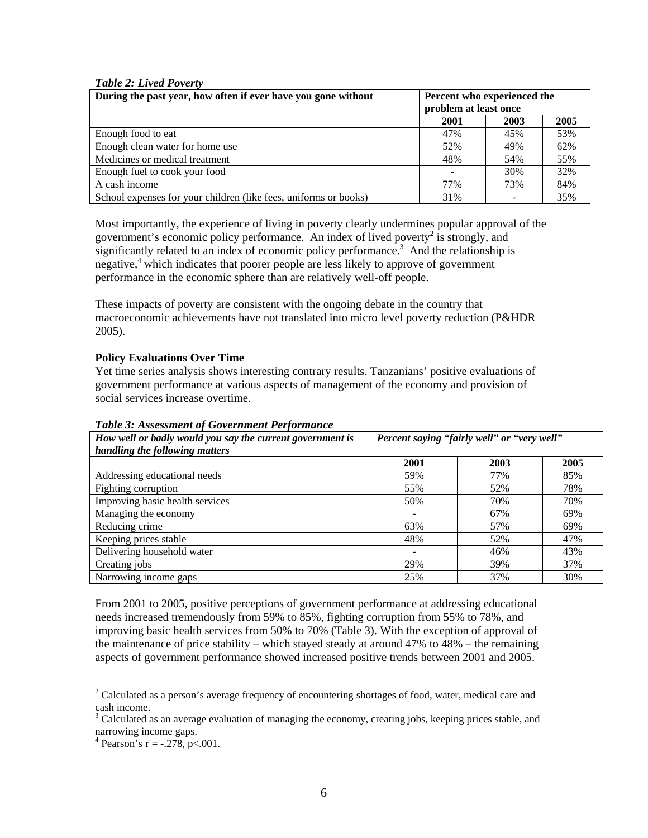## *Table 2: Lived Poverty*

| During the past year, how often if ever have you gone without    | Percent who experienced the |      |      |  |
|------------------------------------------------------------------|-----------------------------|------|------|--|
|                                                                  | problem at least once       |      |      |  |
|                                                                  | 2001                        | 2003 | 2005 |  |
| Enough food to eat                                               | 47%                         | 45%  | 53%  |  |
| Enough clean water for home use                                  | 52%                         | 49%  | 62%  |  |
| Medicines or medical treatment                                   | 48%                         | 54%  | 55%  |  |
| Enough fuel to cook your food                                    |                             | 30%  | 32%  |  |
| A cash income                                                    | 77%                         | 73%  | 84%  |  |
| School expenses for your children (like fees, uniforms or books) | 31%                         |      | 35%  |  |

Most importantly, the experience of living in poverty clearly undermines popular approval of the government's economic policy performance. An index of lived poverty<sup>2</sup> is strongly, and significantly related to an index of economic policy performance.<sup>3</sup> And the relationship is negative,<sup>4</sup> which indicates that poorer people are less likely to approve of government performance in the economic sphere than are relatively well-off people.

These impacts of poverty are consistent with the ongoing debate in the country that macroeconomic achievements have not translated into micro level poverty reduction (P&HDR 2005).

### **Policy Evaluations Over Time**

Yet time series analysis shows interesting contrary results. Tanzanians' positive evaluations of government performance at various aspects of management of the economy and provision of social services increase overtime.

| Percent saying "fairly well" or "very well"<br>How well or badly would you say the current government is |      |      |      |
|----------------------------------------------------------------------------------------------------------|------|------|------|
| handling the following matters                                                                           |      |      |      |
|                                                                                                          | 2001 | 2003 | 2005 |
| Addressing educational needs                                                                             | 59%  | 77%  | 85%  |
| Fighting corruption                                                                                      | 55%  | 52%  | 78%  |
| Improving basic health services                                                                          | 50%  | 70%  | 70%  |
| Managing the economy                                                                                     |      | 67%  | 69%  |
| Reducing crime                                                                                           | 63%  | 57%  | 69%  |
| Keeping prices stable                                                                                    | 48%  | 52%  | 47%  |
| Delivering household water                                                                               |      | 46%  | 43%  |
| Creating jobs                                                                                            | 29%  | 39%  | 37%  |
| Narrowing income gaps                                                                                    | 25%  | 37%  | 30%  |

*Table 3: Assessment of Government Performance* 

From 2001 to 2005, positive perceptions of government performance at addressing educational needs increased tremendously from 59% to 85%, fighting corruption from 55% to 78%, and improving basic health services from 50% to 70% (Table 3). With the exception of approval of the maintenance of price stability – which stayed steady at around 47% to 48% – the remaining aspects of government performance showed increased positive trends between 2001 and 2005.

<sup>&</sup>lt;sup>2</sup> Calculated as a person's average frequency of encountering shortages of food, water, medical care and <sup>2</sup> cash income.

 $3$  Calculated as an average evaluation of managing the economy, creating jobs, keeping prices stable, and narrowing income gaps.

<sup>&</sup>lt;sup>4</sup> Pearson's  $r = -.278$ , p<.001.